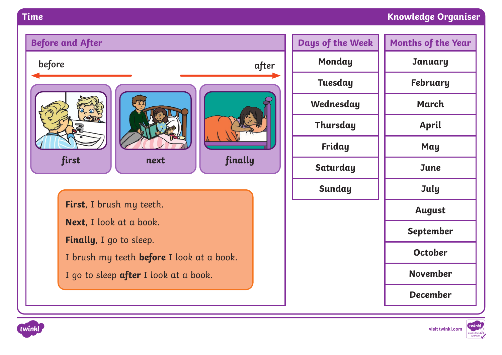## **Time Knowledge Organiser**